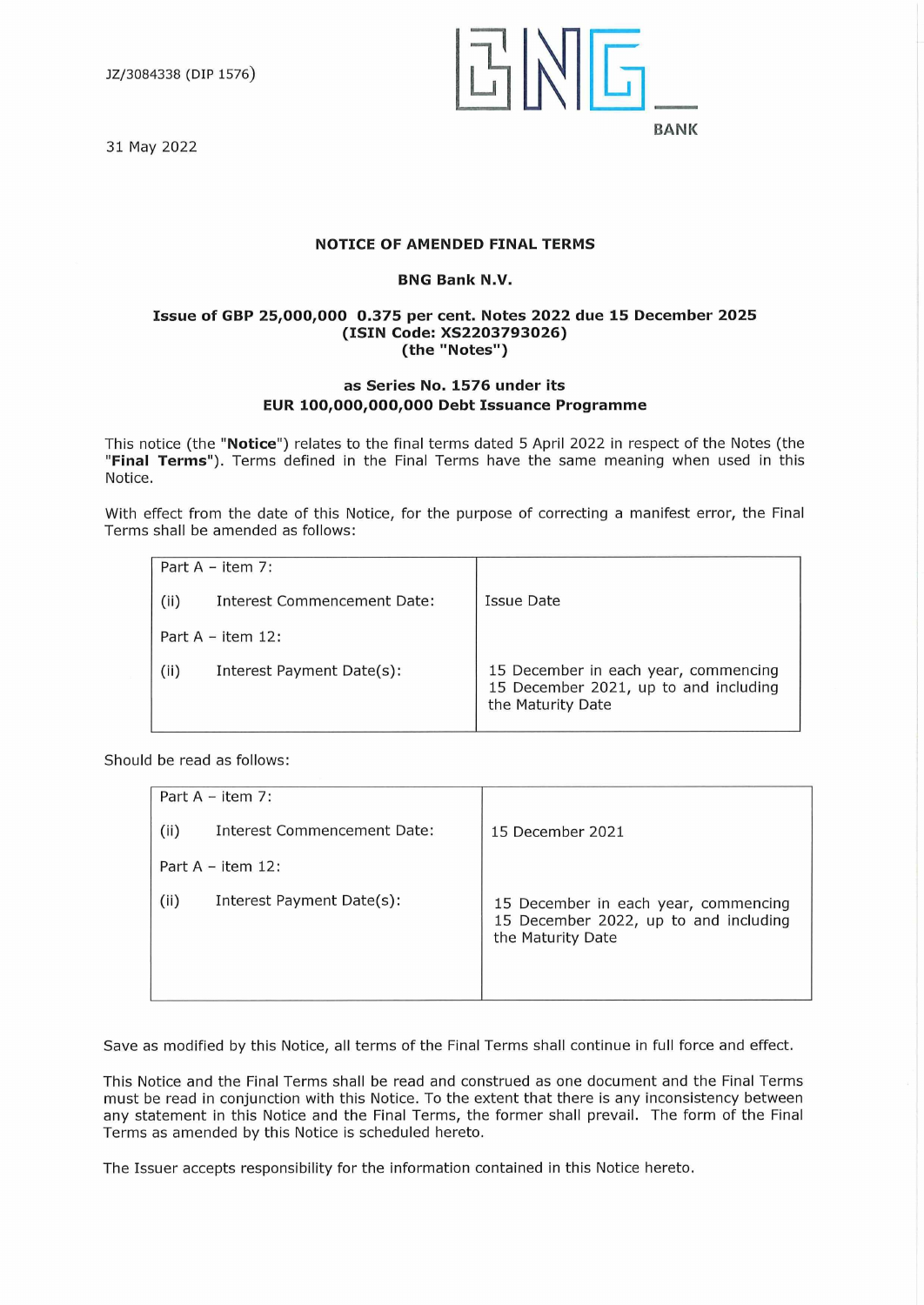JZ/3084338 (DIP 1576)

31 May 2022



# **NOTICE OF AMENDED FINAL TERMS**

# **BNG Bank N.V.**

### **Issue of GBP 25,000,000 0.375 per cent. Notes 2022 due 15 December 2025 (ISIN Code: XS2203793026) (the "Notes")**

# **as Series No. 1576 under its EUR 100,000,000,000 Debt Issuance Programme**

This notice (the **"Notice")** relates to the final terms dated 5 April 2022 in respect of the Notes (the **"Final Terms").** Terms defined in the Final Terms have the same meaning when used in this Notice.

With effect from the date of this Notice, for the purpose of correcting a manifest error, the Final Terms shall be amended as follows:

| Part $A - item 7$ : |                             |                                                                                                    |
|---------------------|-----------------------------|----------------------------------------------------------------------------------------------------|
| (ii)                | Interest Commencement Date: | Issue Date                                                                                         |
|                     | Part $A - item 12$ :        |                                                                                                    |
| (ii)                | Interest Payment Date(s):   | 15 December in each year, commencing<br>15 December 2021, up to and including<br>the Maturity Date |

Should be read as follows:

| Part $A - item 7$ :  |                             |                                                                                                    |
|----------------------|-----------------------------|----------------------------------------------------------------------------------------------------|
| (ii)                 | Interest Commencement Date: | 15 December 2021                                                                                   |
| Part $A - item 12$ : |                             |                                                                                                    |
| (ii)                 | Interest Payment Date(s):   | 15 December in each year, commencing<br>15 December 2022, up to and including<br>the Maturity Date |

Save as modified by this Notice, all terms of the Final Terms shall continue in full force and effect.

This Notice and the Final Terms shall be read and construed as one document and the Final Terms must be read in conjunction with this Notice. To the extent that there is any inconsistency between any statement in this Notice and the Final Terms, the former shall prevail. The form of the Final Terms as amended by this Notice is scheduled hereto.

The Issuer accepts responsibility for the information contained in this Notice hereto.